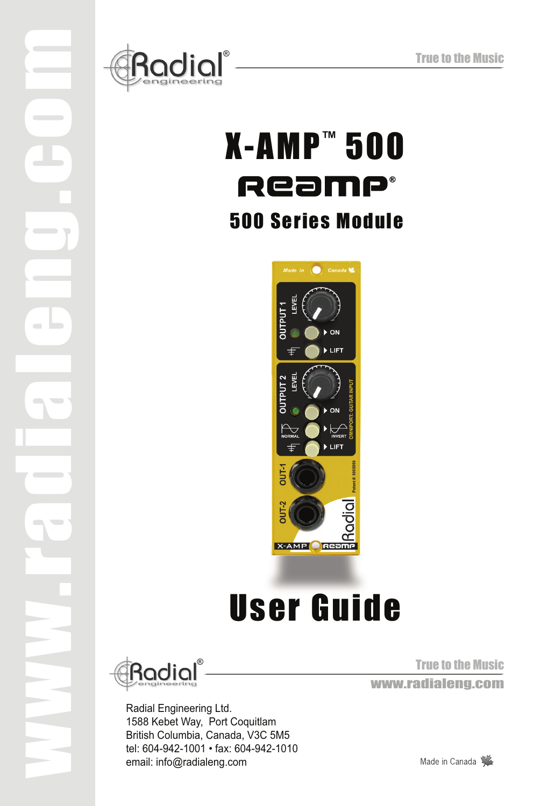

## X-AMP™ 500 Ream  $\blacksquare$ 500 Series Module



# User Guide



www.radialeng.com

Radial Engineering Ltd. 1588 Kebet Way, Port Coquitlam British Columbia, Canada, V3C 5M5 tel: 604-942-1001 • fax: 604-942-1010 email: info@radialeng.com

True to the Music True to the Music<br>WWW.radialeng.com

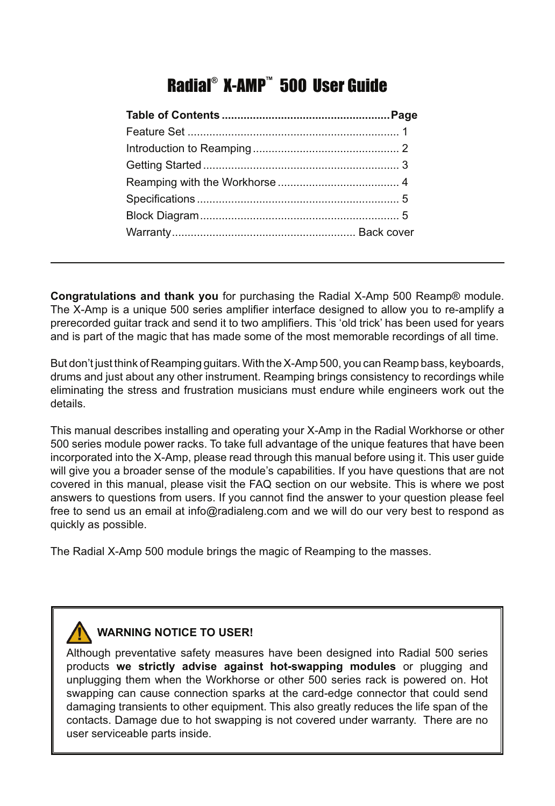## Radial® X-AMP™ 500 User Guide

**Congratulations and thank you** for purchasing the Radial X-Amp 500 Reamp® module. The X-Amp is a unique 500 series amplifier interface designed to allow you to re-amplify a prerecorded guitar track and send it to two amplifiers. This 'old trick' has been used for years and is part of the magic that has made some of the most memorable recordings of all time.

But don't just think of Reamping guitars. With the X-Amp 500, you can Reamp bass, keyboards, drums and just about any other instrument. Reamping brings consistency to recordings while eliminating the stress and frustration musicians must endure while engineers work out the details.

This manual describes installing and operating your X-Amp in the Radial Workhorse or other 500 series module power racks. To take full advantage of the unique features that have been incorporated into the X-Amp, please read through this manual before using it. This user guide will give you a broader sense of the module's capabilities. If you have questions that are not covered in this manual, please visit the FAQ section on our website. This is where we post answers to questions from users. If you cannot find the answer to your question please feel free to send us an email at info@radialeng.com and we will do our very best to respond as quickly as possible.

The Radial X-Amp 500 module brings the magic of Reamping to the masses.

### **WARNING NOTICE TO USER!**

Although preventative safety measures have been designed into Radial 500 series products **we strictly advise against hot-swapping modules** or plugging and unplugging them when the Workhorse or other 500 series rack is powered on. Hot swapping can cause connection sparks at the card-edge connector that could send damaging transients to other equipment. This also greatly reduces the life span of the contacts. Damage due to hot swapping is not covered under warranty. There are no user serviceable parts inside.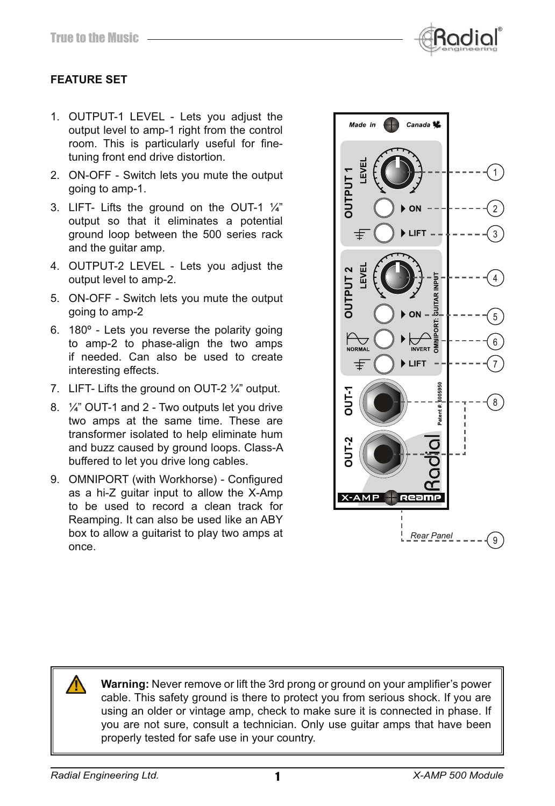

#### **FEATURE SET**

- 1. OUTPUT-1 LEVEL Lets you adjust the output level to amp-1 right from the control room. This is particularly useful for finetuning front end drive distortion.
- 2. ON-OFF Switch lets you mute the output going to amp-1.
- 3. LIFT- Lifts the ground on the OUT-1  $\frac{1}{4}$ " output so that it eliminates a potential ground loop between the 500 series rack and the guitar amp.
- 4. OUTPUT-2 LEVEL Lets you adjust the output level to amp-2.
- 5. ON-OFF Switch lets you mute the output going to amp-2
- 6. 180º Lets you reverse the polarity going to amp-2 to phase-align the two amps if needed. Can also be used to create interesting effects.
- 7. LIFT- Lifts the ground on OUT-2 ¼" output.
- 8. ¼" OUT-1 and 2 Two outputs let you drive two amps at the same time. These are transformer isolated to help eliminate hum and buzz caused by ground loops. Class-A buffered to let you drive long cables.
- 9. OMNIPORT (with Workhorse) Configured as a hi-Z guitar input to allow the X-Amp to be used to record a clean track for Reamping. It can also be used like an ABY box to allow a guitarist to play two amps at once.



**Warning:** Never remove or lift the 3rd prong or ground on your amplifier's power cable. This safety ground is there to protect you from serious shock. If you are using an older or vintage amp, check to make sure it is connected in phase. If you are not sure, consult a technician. Only use guitar amps that have been properly tested for safe use in your country.

1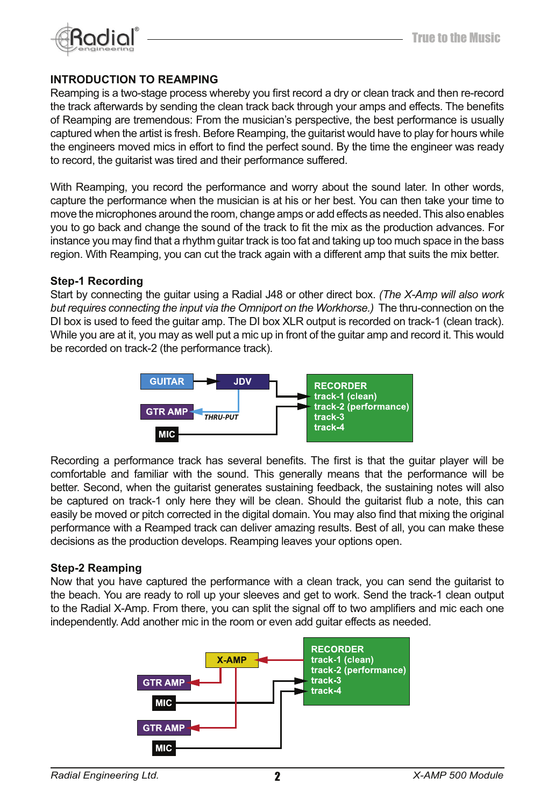

#### **INTRODUCTION TO REAMPING**

Reamping is a two-stage process whereby you first record a dry or clean track and then re-record the track afterwards by sending the clean track back through your amps and effects. The benefits of Reamping are tremendous: From the musician's perspective, the best performance is usually captured when the artist is fresh. Before Reamping, the guitarist would have to play for hours while the engineers moved mics in effort to find the perfect sound. By the time the engineer was ready to record, the guitarist was tired and their performance suffered.

With Reamping, you record the performance and worry about the sound later. In other words, capture the performance when the musician is at his or her best. You can then take your time to move the microphones around the room, change amps or add effects as needed. This also enables you to go back and change the sound of the track to fit the mix as the production advances. For instance you may find that a rhythm quitar track is too fat and taking up too much space in the bass region. With Reamping, you can cut the track again with a different amp that suits the mix better.

#### **Step-1 Recording**

Start by connecting the guitar using a Radial J48 or other direct box. *(The X-Amp will also work but requires connecting the input via the Omniport on the Workhorse.)* The thru-connection on the DI box is used to feed the guitar amp. The DI box XLR output is recorded on track-1 (clean track). While you are at it, you may as well put a mic up in front of the guitar amp and record it. This would be recorded on track-2 (the performance track).



Recording a performance track has several benefits. The first is that the guitar player will be comfortable and familiar with the sound. This generally means that the performance will be better. Second, when the guitarist generates sustaining feedback, the sustaining notes will also be captured on track-1 only here they will be clean. Should the guitarist flub a note, this can easily be moved or pitch corrected in the digital domain. You may also find that mixing the original performance with a Reamped track can deliver amazing results. Best of all, you can make these decisions as the production develops. Reamping leaves your options open.

#### **Step-2 Reamping**

Now that you have captured the performance with a clean track, you can send the guitarist to the beach. You are ready to roll up your sleeves and get to work. Send the track-1 clean output to the Radial X-Amp. From there, you can split the signal off to two amplifiers and mic each one independently. Add another mic in the room or even add guitar effects as needed.

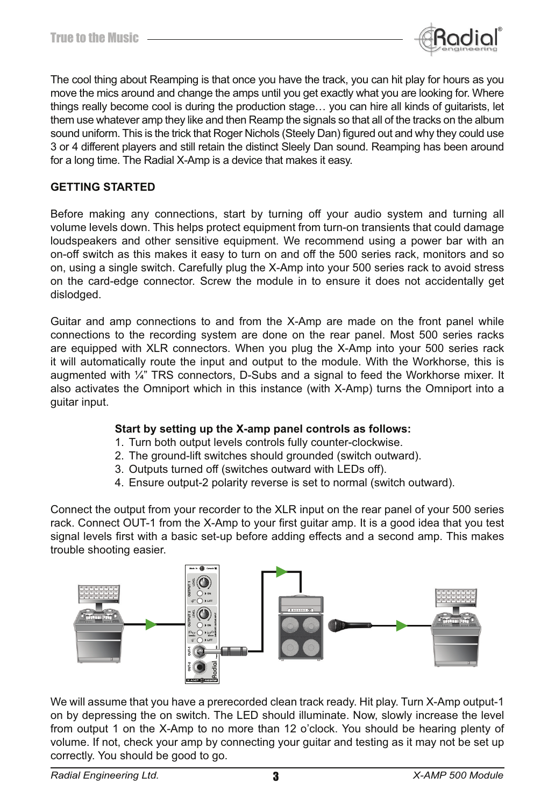

The cool thing about Reamping is that once you have the track, you can hit play for hours as you move the mics around and change the amps until you get exactly what you are looking for. Where things really become cool is during the production stage… you can hire all kinds of guitarists, let them use whatever amp they like and then Reamp the signals so that all of the tracks on the album sound uniform. This is the trick that Roger Nichols (Steely Dan) figured out and why they could use 3 or 4 different players and still retain the distinct Sleely Dan sound. Reamping has been around for a long time. The Radial X-Amp is a device that makes it easy.

#### **GETTING STARTED**

Before making any connections, start by turning off your audio system and turning all volume levels down. This helps protect equipment from turn-on transients that could damage loudspeakers and other sensitive equipment. We recommend using a power bar with an on-off switch as this makes it easy to turn on and off the 500 series rack, monitors and so on, using a single switch. Carefully plug the X-Amp into your 500 series rack to avoid stress on the card-edge connector. Screw the module in to ensure it does not accidentally get dislodged.

Guitar and amp connections to and from the X-Amp are made on the front panel while connections to the recording system are done on the rear panel. Most 500 series racks are equipped with XLR connectors. When you plug the X-Amp into your 500 series rack it will automatically route the input and output to the module. With the Workhorse, this is augmented with  $\frac{1}{4}$ " TRS connectors, D-Subs and a signal to feed the Workhorse mixer. It also activates the Omniport which in this instance (with X-Amp) turns the Omniport into a guitar input.

#### **Start by setting up the X-amp panel controls as follows:**

- 1. Turn both output levels controls fully counter-clockwise.
- 2. The ground-lift switches should grounded (switch outward).
- 3. Outputs turned off (switches outward with LEDs off).
- 4. Ensure output-2 polarity reverse is set to normal (switch outward).

Connect the output from your recorder to the XLR input on the rear panel of your 500 series rack. Connect OUT-1 from the X-Amp to your first guitar amp. It is a good idea that you test signal levels first with a basic set-up before adding effects and a second amp. This makes trouble shooting easier.



We will assume that you have a prerecorded clean track ready. Hit play. Turn X-Amp output-1 on by depressing the on switch. The LED should illuminate. Now, slowly increase the level from output 1 on the X-Amp to no more than 12 o'clock. You should be hearing plenty of volume. If not, check your amp by connecting your guitar and testing as it may not be set up correctly. You should be good to go.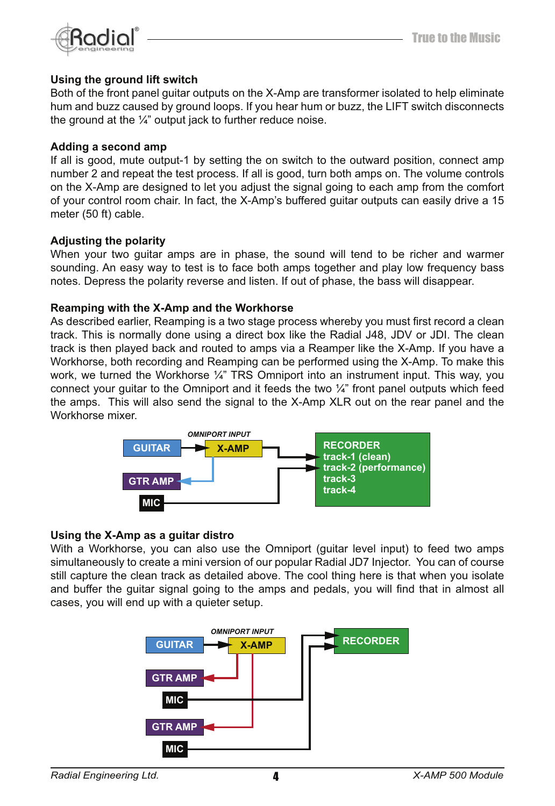

#### **Using the ground lift switch**

Both of the front panel guitar outputs on the X-Amp are transformer isolated to help eliminate hum and buzz caused by ground loops. If you hear hum or buzz, the LIFT switch disconnects the ground at the  $\frac{1}{4}$ " output jack to further reduce noise.

#### **Adding a second amp**

If all is good, mute output-1 by setting the on switch to the outward position, connect amp number 2 and repeat the test process. If all is good, turn both amps on. The volume controls on the X-Amp are designed to let you adjust the signal going to each amp from the comfort of your control room chair. In fact, the X-Amp's buffered guitar outputs can easily drive a 15 meter (50 ft) cable.

#### **Adjusting the polarity**

When your two guitar amps are in phase, the sound will tend to be richer and warmer sounding. An easy way to test is to face both amps together and play low frequency bass notes. Depress the polarity reverse and listen. If out of phase, the bass will disappear.

#### **Reamping with the X-Amp and the Workhorse**

As described earlier, Reamping is a two stage process whereby you must first record a clean track. This is normally done using a direct box like the Radial J48, JDV or JDI. The clean track is then played back and routed to amps via a Reamper like the X-Amp. If you have a Workhorse, both recording and Reamping can be performed using the X-Amp. To make this work, we turned the Workhorse  $\frac{1}{4}$ " TRS Omniport into an instrument input. This way, you connect your guitar to the Omniport and it feeds the two  $\frac{1}{4}$ " front panel outputs which feed the amps. This will also send the signal to the X-Amp XLR out on the rear panel and the Workhorse mixer.



#### **Using the X-Amp as a guitar distro**

With a Workhorse, you can also use the Omniport (guitar level input) to feed two amps simultaneously to create a mini version of our popular Radial JD7 Injector. You can of course still capture the clean track as detailed above. The cool thing here is that when you isolate and buffer the guitar signal going to the amps and pedals, you will find that in almost all cases, you will end up with a quieter setup.

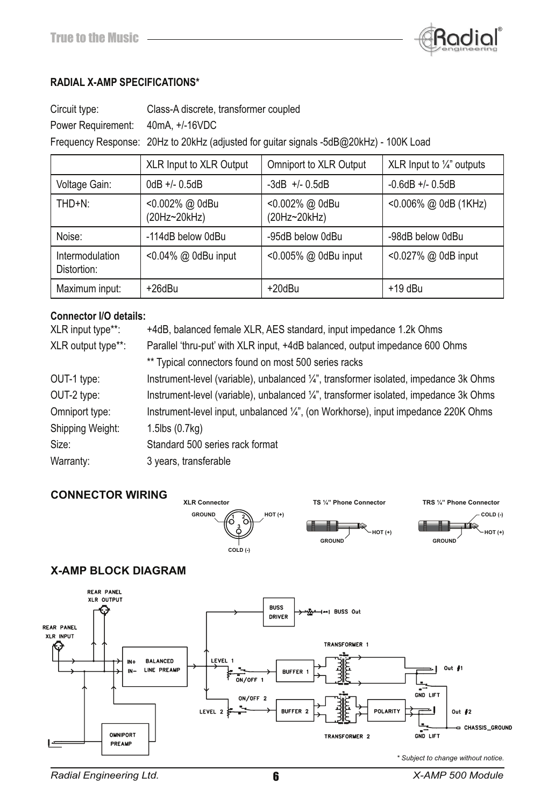

#### **RADIAL X-AMP SPECIFICATIONS\***

| Circuit type:                     | Class-A discrete, transformer coupled                                                  |
|-----------------------------------|----------------------------------------------------------------------------------------|
| Power Requirement: 40mA, +/-16VDC |                                                                                        |
|                                   | Frequency Response: 20Hz to 20kHz (adjusted for guitar signals -5dB@20kHz) - 100K Load |

|                                | <b>XLR Input to XLR Output</b> | Omniport to XLR Output         | XLR Input to $\frac{1}{4}$ " outputs |
|--------------------------------|--------------------------------|--------------------------------|--------------------------------------|
| Voltage Gain:                  | $0dB +/- 0.5dB$                | $-3dB$ +/- 0.5dB               | $-0.6$ dB $+/- 0.5$ dB               |
| THD+N:                         | <0.002% @ 0dBu<br>(20Hz~20kHz) | <0.002% @ 0dBu<br>(20Hz~20kHz) | $< 0.006\%$ @ 0dB (1KHz)             |
| Noise:                         | -114dB below 0dBu              | -95dB below 0dBu               | -98dB below 0dBu                     |
| Intermodulation<br>Distortion: | <0.04% @ 0dBu input            | <0.005% @ 0dBu input           | <0.027% @ 0dB input                  |
| Maximum input:                 | +26dBu                         | +20dBu                         | $+19$ dBu                            |

#### **Connector I/O details:**

| +4dB, balanced female XLR, AES standard, input impedance 1.2k Ohms                    |  |
|---------------------------------------------------------------------------------------|--|
| Parallel 'thru-put' with XLR input, +4dB balanced, output impedance 600 Ohms          |  |
| ** Typical connectors found on most 500 series racks                                  |  |
| Instrument-level (variable), unbalanced 1/4", transformer isolated, impedance 3k Ohms |  |
| Instrument-level (variable), unbalanced ¼", transformer isolated, impedance 3k Ohms   |  |
| Instrument-level input, unbalanced 1/4", (on Workhorse), input impedance 220K Ohms    |  |
| 1.5lbs (0.7kg)                                                                        |  |
| Standard 500 series rack format                                                       |  |
| 3 years, transferable                                                                 |  |
|                                                                                       |  |

#### **CONNECTOR WIRING**







#### **X-AMP BLOCK DIAGRAM**